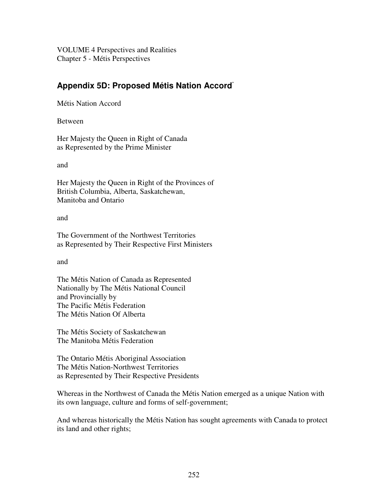VOLUME 4 Perspectives and Realities Chapter 5 - Métis Perspectives

# **Appendix 5D: Proposed Métis Nation Accord** \*

Métis Nation Accord

Between

Her Majesty the Queen in Right of Canada as Represented by the Prime Minister

and

Her Majesty the Queen in Right of the Provinces of British Columbia, Alberta, Saskatchewan, Manitoba and Ontario

and

The Government of the Northwest Territories as Represented by Their Respective First Ministers

and

The Métis Nation of Canada as Represented Nationally by The Métis National Council and Provincially by The Pacific Métis Federation The Métis Nation Of Alberta

The Métis Society of Saskatchewan The Manitoba Métis Federation

The Ontario Métis Aboriginal Association The Métis Nation-Northwest Territories as Represented by Their Respective Presidents

Whereas in the Northwest of Canada the Métis Nation emerged as a unique Nation with its own language, culture and forms of self-government;

And whereas historically the Métis Nation has sought agreements with Canada to protect its land and other rights;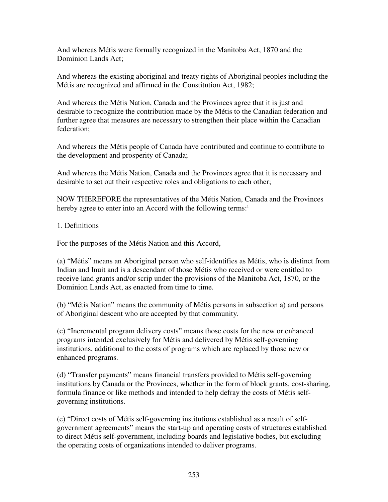And whereas Métis were formally recognized in the Manitoba Act, 1870 and the Dominion Lands Act;

And whereas the existing aboriginal and treaty rights of Aboriginal peoples including the Métis are recognized and affirmed in the Constitution Act, 1982;

And whereas the Métis Nation, Canada and the Provinces agree that it is just and desirable to recognize the contribution made by the Métis to the Canadian federation and further agree that measures are necessary to strengthen their place within the Canadian federation;

And whereas the Métis people of Canada have contributed and continue to contribute to the development and prosperity of Canada;

And whereas the Métis Nation, Canada and the Provinces agree that it is necessary and desirable to set out their respective roles and obligations to each other;

NOW THEREFORE the representatives of the Métis Nation, Canada and the Provinces hereby agree to enter into an Accord with the following terms:<sup>1</sup>

1. Definitions

For the purposes of the Métis Nation and this Accord,

(a) "Métis" means an Aboriginal person who self-identifies as Métis, who is distinct from Indian and Inuit and is a descendant of those Métis who received or were entitled to receive land grants and/or scrip under the provisions of the Manitoba Act, 1870, or the Dominion Lands Act, as enacted from time to time.

(b) "Métis Nation" means the community of Métis persons in subsection a) and persons of Aboriginal descent who are accepted by that community.

(c) "Incremental program delivery costs" means those costs for the new or enhanced programs intended exclusively for Métis and delivered by Métis self-governing institutions, additional to the costs of programs which are replaced by those new or enhanced programs.

(d) "Transfer payments" means financial transfers provided to Métis self-governing institutions by Canada or the Provinces, whether in the form of block grants, cost-sharing, formula finance or like methods and intended to help defray the costs of Métis selfgoverning institutions.

(e) "Direct costs of Métis self-governing institutions established as a result of selfgovernment agreements" means the start-up and operating costs of structures established to direct Métis self-government, including boards and legislative bodies, but excluding the operating costs of organizations intended to deliver programs.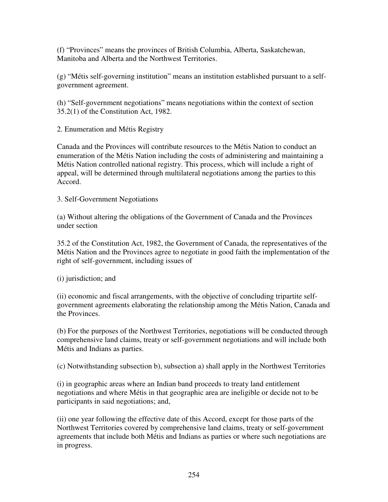(f) "Provinces" means the provinces of British Columbia, Alberta, Saskatchewan, Manitoba and Alberta and the Northwest Territories.

(g) "Métis self-governing institution" means an institution established pursuant to a selfgovernment agreement.

(h) "Self-government negotiations" means negotiations within the context of section 35.2(1) of the Constitution Act, 1982.

2. Enumeration and Métis Registry

Canada and the Provinces will contribute resources to the Métis Nation to conduct an enumeration of the Métis Nation including the costs of administering and maintaining a Métis Nation controlled national registry. This process, which will include a right of appeal, will be determined through multilateral negotiations among the parties to this Accord.

3. Self-Government Negotiations

(a) Without altering the obligations of the Government of Canada and the Provinces under section

35.2 of the Constitution Act, 1982, the Government of Canada, the representatives of the Métis Nation and the Provinces agree to negotiate in good faith the implementation of the right of self-government, including issues of

(i) jurisdiction; and

(ii) economic and fiscal arrangements, with the objective of concluding tripartite selfgovernment agreements elaborating the relationship among the Métis Nation, Canada and the Provinces.

(b) For the purposes of the Northwest Territories, negotiations will be conducted through comprehensive land claims, treaty or self-government negotiations and will include both Métis and Indians as parties.

(c) Notwithstanding subsection b), subsection a) shall apply in the Northwest Territories

(i) in geographic areas where an Indian band proceeds to treaty land entitlement negotiations and where Métis in that geographic area are ineligible or decide not to be participants in said negotiations; and,

(ii) one year following the effective date of this Accord, except for those parts of the Northwest Territories covered by comprehensive land claims, treaty or self-government agreements that include both Métis and Indians as parties or where such negotiations are in progress.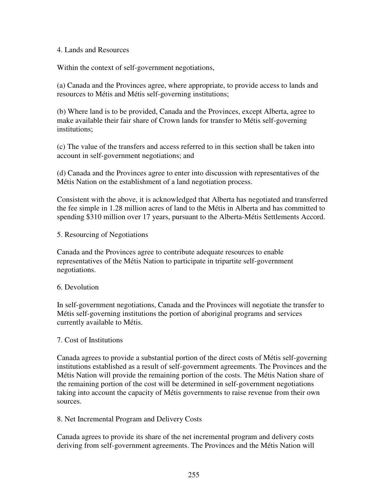#### 4. Lands and Resources

Within the context of self-government negotiations,

(a) Canada and the Provinces agree, where appropriate, to provide access to lands and resources to Métis and Métis self-governing institutions;

(b) Where land is to be provided, Canada and the Provinces, except Alberta, agree to make available their fair share of Crown lands for transfer to Métis self-governing institutions;

(c) The value of the transfers and access referred to in this section shall be taken into account in self-government negotiations; and

(d) Canada and the Provinces agree to enter into discussion with representatives of the Métis Nation on the establishment of a land negotiation process.

Consistent with the above, it is acknowledged that Alberta has negotiated and transferred the fee simple in 1.28 million acres of land to the Métis in Alberta and has committed to spending \$310 million over 17 years, pursuant to the Alberta-Métis Settlements Accord.

### 5. Resourcing of Negotiations

Canada and the Provinces agree to contribute adequate resources to enable representatives of the Métis Nation to participate in tripartite self-government negotiations.

### 6. Devolution

In self-government negotiations, Canada and the Provinces will negotiate the transfer to Métis self-governing institutions the portion of aboriginal programs and services currently available to Métis.

### 7. Cost of Institutions

Canada agrees to provide a substantial portion of the direct costs of Métis self-governing institutions established as a result of self-government agreements. The Provinces and the Métis Nation will provide the remaining portion of the costs. The Métis Nation share of the remaining portion of the cost will be determined in self-government negotiations taking into account the capacity of Métis governments to raise revenue from their own sources.

### 8. Net Incremental Program and Delivery Costs

Canada agrees to provide its share of the net incremental program and delivery costs deriving from self-government agreements. The Provinces and the Métis Nation will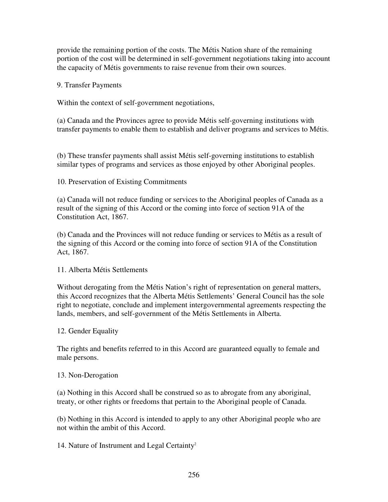provide the remaining portion of the costs. The Métis Nation share of the remaining portion of the cost will be determined in self-government negotiations taking into account the capacity of Métis governments to raise revenue from their own sources.

9. Transfer Payments

Within the context of self-government negotiations,

(a) Canada and the Provinces agree to provide Métis self-governing institutions with transfer payments to enable them to establish and deliver programs and services to Métis.

(b) These transfer payments shall assist Métis self-governing institutions to establish similar types of programs and services as those enjoyed by other Aboriginal peoples.

10. Preservation of Existing Commitments

(a) Canada will not reduce funding or services to the Aboriginal peoples of Canada as a result of the signing of this Accord or the coming into force of section 91A of the Constitution Act, 1867.

(b) Canada and the Provinces will not reduce funding or services to Métis as a result of the signing of this Accord or the coming into force of section 91A of the Constitution Act, 1867.

11. Alberta Métis Settlements

Without derogating from the Métis Nation's right of representation on general matters, this Accord recognizes that the Alberta Métis Settlements' General Council has the sole right to negotiate, conclude and implement intergovernmental agreements respecting the lands, members, and self-government of the Métis Settlements in Alberta.

12. Gender Equality

The rights and benefits referred to in this Accord are guaranteed equally to female and male persons.

### 13. Non-Derogation

(a) Nothing in this Accord shall be construed so as to abrogate from any aboriginal, treaty, or other rights or freedoms that pertain to the Aboriginal people of Canada.

(b) Nothing in this Accord is intended to apply to any other Aboriginal people who are not within the ambit of this Accord.

14. Nature of Instrument and Legal Certainty 2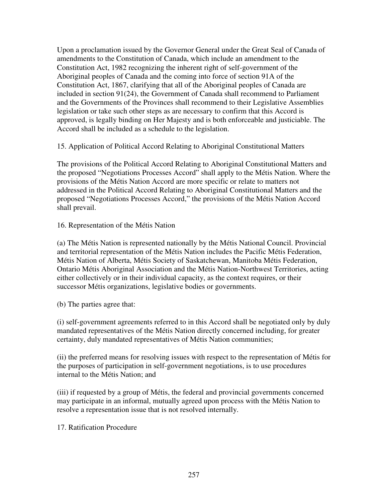Upon a proclamation issued by the Governor General under the Great Seal of Canada of amendments to the Constitution of Canada, which include an amendment to the Constitution Act, 1982 recognizing the inherent right of self-government of the Aboriginal peoples of Canada and the coming into force of section 91A of the Constitution Act, 1867, clarifying that all of the Aboriginal peoples of Canada are included in section 91(24), the Government of Canada shall recommend to Parliament and the Governments of the Provinces shall recommend to their Legislative Assemblies legislation or take such other steps as are necessary to confirm that this Accord is approved, is legally binding on Her Majesty and is both enforceable and justiciable. The Accord shall be included as a schedule to the legislation.

15. Application of Political Accord Relating to Aboriginal Constitutional Matters

The provisions of the Political Accord Relating to Aboriginal Constitutional Matters and the proposed "Negotiations Processes Accord" shall apply to the Métis Nation. Where the provisions of the Métis Nation Accord are more specific or relate to matters not addressed in the Political Accord Relating to Aboriginal Constitutional Matters and the proposed "Negotiations Processes Accord," the provisions of the Métis Nation Accord shall prevail.

16. Representation of the Métis Nation

(a) The Métis Nation is represented nationally by the Métis National Council. Provincial and territorial representation of the Métis Nation includes the Pacific Métis Federation, Métis Nation of Alberta, Métis Society of Saskatchewan, Manitoba Métis Federation, Ontario Métis Aboriginal Association and the Métis Nation-Northwest Territories, acting either collectively or in their individual capacity, as the context requires, or their successor Métis organizations, legislative bodies or governments.

(b) The parties agree that:

(i) self-government agreements referred to in this Accord shall be negotiated only by duly mandated representatives of the Métis Nation directly concerned including, for greater certainty, duly mandated representatives of Métis Nation communities;

(ii) the preferred means for resolving issues with respect to the representation of Métis for the purposes of participation in self-government negotiations, is to use procedures internal to the Métis Nation; and

(iii) if requested by a group of Métis, the federal and provincial governments concerned may participate in an informal, mutually agreed upon process with the Métis Nation to resolve a representation issue that is not resolved internally.

17. Ratification Procedure